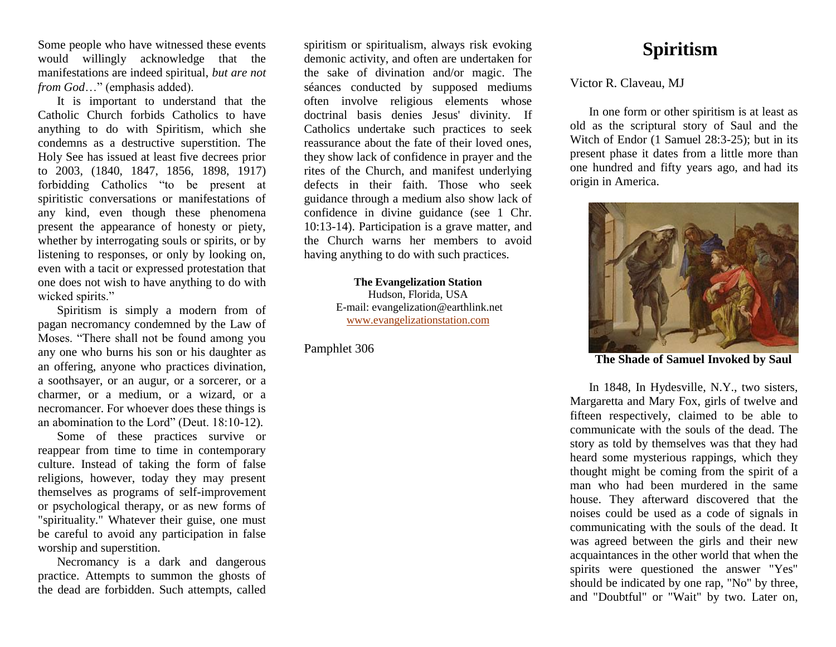Some people who have witnessed these events would willingly acknowledge that the manifestations are indeed spiritual, *but are not from God*…" (emphasis added).

It is important to understand that the Catholic Church forbids Catholics to have anything to do with Spiritism, which she condemns as a destructive superstition. The Holy See has issued at least five decrees prior to 2003, (1840, 1847, 1856, 1898, 1917) forbidding Catholics "to be present at spiritistic conversations or manifestations of any kind, even though these phenomena present the appearance of honesty or piety, whether by interrogating souls or spirits, or by listening to responses, or only by looking on, even with a tacit or expressed protestation that one does not wish to have anything to do with wicked spirits."

Spiritism is simply a modern from of pagan necromancy condemned by the Law of Moses. "There shall not be found among you any one who burns his son or his daughter as an offering, anyone who practices divination, a soothsayer, or an augur, or a sorcerer, or a charmer, or a medium, or a wizard, or a necromancer. For whoever does these things is an abomination to the Lord" (Deut. 18:10-12).

Some of these practices survive or reappear from time to time in contemporary culture. Instead of taking the form of false religions, however, today they may present themselves as programs of self-improvement or psychological therapy, or as new forms of "spirituality." Whatever their guise, one must be careful to avoid any participation in false worship and superstition.

Necromancy is a dark and dangerous practice. Attempts to summon the ghosts of the dead are forbidden. Such attempts, called

spiritism or spiritualism, always risk evoking demonic activity, and often are undertaken for the sake of divination and/or magic. The séances conducted by supposed mediums often involve religious elements whose doctrinal basis denies Jesus' divinity. If Catholics undertake such practices to seek reassurance about the fate of their loved ones, they show lack of confidence in prayer and the rites of the Church, and manifest underlying defects in their faith. Those who seek guidance through a medium also show lack of confidence in divine guidance (see 1 Chr. 10:13-14). Participation is a grave matter, and the Church warns her members to avoid having anything to do with such practices.

> **The Evangelization Station** Hudson, Florida, USA E-mail: evangelization@earthlink.net [www.evangelizationstation.com](http://www.pjpiisoe.org/)

Pamphlet 306

## **Spiritism**

Victor R. Claveau, MJ

In one form or other spiritism is at least as old as the scriptural story of Saul and the Witch of Endor (1 Samuel 28:3-25); but in its present phase it dates from a little more than one hundred and fifty years ago, and had its origin in America.



**The Shade of Samuel Invoked by Saul**

In 1848, In Hydesville, N.Y., two sisters, Margaretta and Mary Fox, girls of twelve and fifteen respectively, claimed to be able to communicate with the souls of the dead. The story as told by themselves was that they had heard some mysterious rappings, which they thought might be coming from the spirit of a man who had been murdered in the same house. They afterward discovered that the noises could be used as a code of signals in communicating with the souls of the dead. It was agreed between the girls and their new acquaintances in the other world that when the spirits were questioned the answer "Yes" should be indicated by one rap, "No" by three, and "Doubtful" or "Wait" by two. Later on,